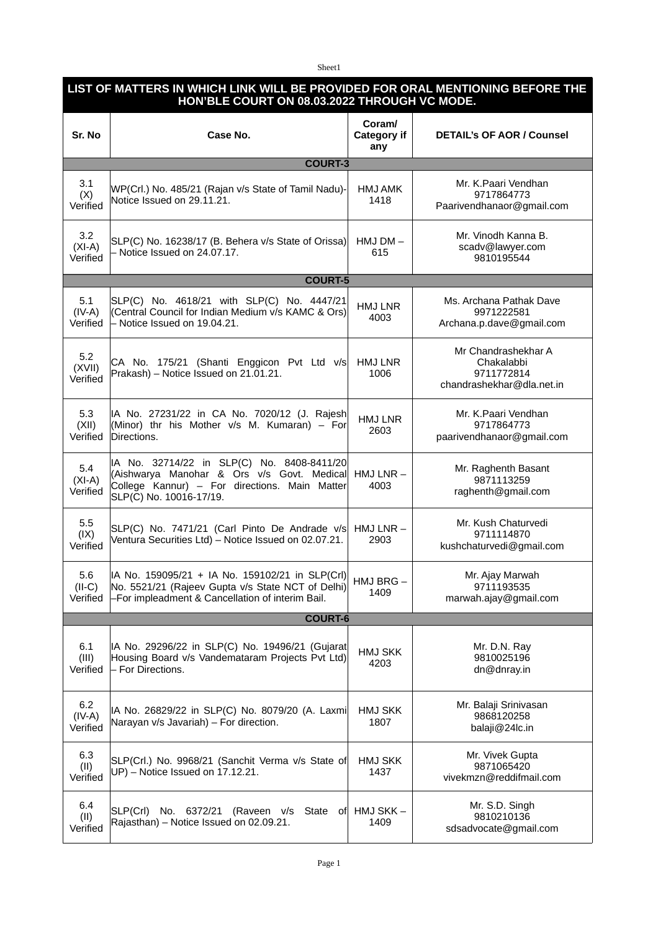## Sheet1

## **LIST OF MATTERS IN WHICH LINK WILL BE PROVIDED FOR ORAL MENTIONING BEFORE THE HON'BLE COURT ON 08.03.2022 THROUGH VC MODE.**

| Sr. No                      | Case No.                                                                                                                                                             | Coram/<br>Category if<br>any | <b>DETAIL's OF AOR / Counsel</b>                                             |  |
|-----------------------------|----------------------------------------------------------------------------------------------------------------------------------------------------------------------|------------------------------|------------------------------------------------------------------------------|--|
| <b>COURT-3</b>              |                                                                                                                                                                      |                              |                                                                              |  |
| 3.1<br>(X)<br>Verified      | WP(Crl.) No. 485/21 (Rajan v/s State of Tamil Nadu)-<br>Notice Issued on 29.11.21.                                                                                   | <b>HMJ AMK</b><br>1418       | Mr. K.Paari Vendhan<br>9717864773<br>Paarivendhanaor@gmail.com               |  |
| 3.2<br>$(XI-A)$<br>Verified | SLP(C) No. 16238/17 (B. Behera v/s State of Orissa)<br>- Notice Issued on 24.07.17.                                                                                  | $HMJDM -$<br>615             | Mr. Vinodh Kanna B.<br>scadv@lawyer.com<br>9810195544                        |  |
| <b>COURT-5</b>              |                                                                                                                                                                      |                              |                                                                              |  |
| 5.1<br>$(IV-A)$<br>Verified | SLP(C) No. 4618/21 with SLP(C) No. 4447/21<br>(Central Council for Indian Medium v/s KAMC & Ors)<br>- Notice Issued on 19.04.21.                                     | <b>HMJ LNR</b><br>4003       | Ms. Archana Pathak Dave<br>9971222581<br>Archana.p.dave@gmail.com            |  |
| 5.2<br>(XVII)<br>Verified   | CA No. 175/21 (Shanti Enggicon Pvt Ltd v/s<br>Prakash) - Notice Issued on 21.01.21.                                                                                  | <b>HMJ LNR</b><br>1006       | Mr Chandrashekhar A<br>Chakalabbi<br>9711772814<br>chandrashekhar@dla.net.in |  |
| 5.3<br>(XII)<br>Verified    | IA No. 27231/22 in CA No. 7020/12 (J. Rajesh<br>(Minor) thr his Mother $v/s$ M. Kumaran) – For<br>Directions.                                                        | HMJ LNR<br>2603              | Mr. K.Paari Vendhan<br>9717864773<br>paarivendhanaor@gmail.com               |  |
| 5.4<br>$(XI-A)$<br>Verified | IA No. 32714/22 in SLP(C) No. 8408-8411/20<br>(Aishwarya Manohar & Ors v/s Govt. Medical<br>College Kannur) - For directions. Main Matter<br>SLP(C) No. 10016-17/19. | $HMJ LNR -$<br>4003          | Mr. Raghenth Basant<br>9871113259<br>raghenth@gmail.com                      |  |
| 5.5<br>(IX)<br>Verified     | SLP(C) No. 7471/21 (Carl Pinto De Andrade v/s<br>Ventura Securities Ltd) - Notice Issued on 02.07.21.                                                                | $HMJ LNR -$<br>2903          | Mr. Kush Chaturvedi<br>9711114870<br>kushchaturvedi@gmail.com                |  |
| 5.6<br>$(II-C)$<br>Verified | IA No. 159095/21 + IA No. 159102/21 in SLP(Crl)<br>No. 5521/21 (Rajeev Gupta v/s State NCT of Delhi)<br>-For impleadment & Cancellation of interim Bail.             | HMJ BRG-<br>1409             | Mr. Ajay Marwah<br>9711193535<br>marwah.ajay@gmail.com                       |  |
| <b>COURT-6</b>              |                                                                                                                                                                      |                              |                                                                              |  |
| 6.1<br>(III)<br>Verified    | IA No. 29296/22 in SLP(C) No. 19496/21 (Gujarat<br>Housing Board v/s Vandemataram Projects Pvt Ltd)<br>- For Directions.                                             | <b>HMJ SKK</b><br>4203       | Mr. D.N. Ray<br>9810025196<br>dn@dnray.in                                    |  |
| 6.2<br>$(IV-A)$<br>Verified | IA No. 26829/22 in SLP(C) No. 8079/20 (A. Laxmi<br>Narayan v/s Javariah) - For direction.                                                                            | <b>HMJ SKK</b><br>1807       | Mr. Balaji Srinivasan<br>9868120258<br>balaji@24lc.in                        |  |
| 6.3<br>(II)<br>Verified     | SLP(Crl.) No. 9968/21 (Sanchit Verma v/s State of<br>$UP$ ) – Notice Issued on 17.12.21.                                                                             | <b>HMJ SKK</b><br>1437       | Mr. Vivek Gupta<br>9871065420<br>vivekmzn@reddifmail.com                     |  |
| 6.4<br>(II)<br>Verified     | SLP(Crl)<br>No. 6372/21 (Raveen v/s<br>State<br>of⊧<br>Rajasthan) – Notice Issued on 02.09.21.                                                                       | HMJ SKK –<br>1409            | Mr. S.D. Singh<br>9810210136<br>sdsadvocate@gmail.com                        |  |